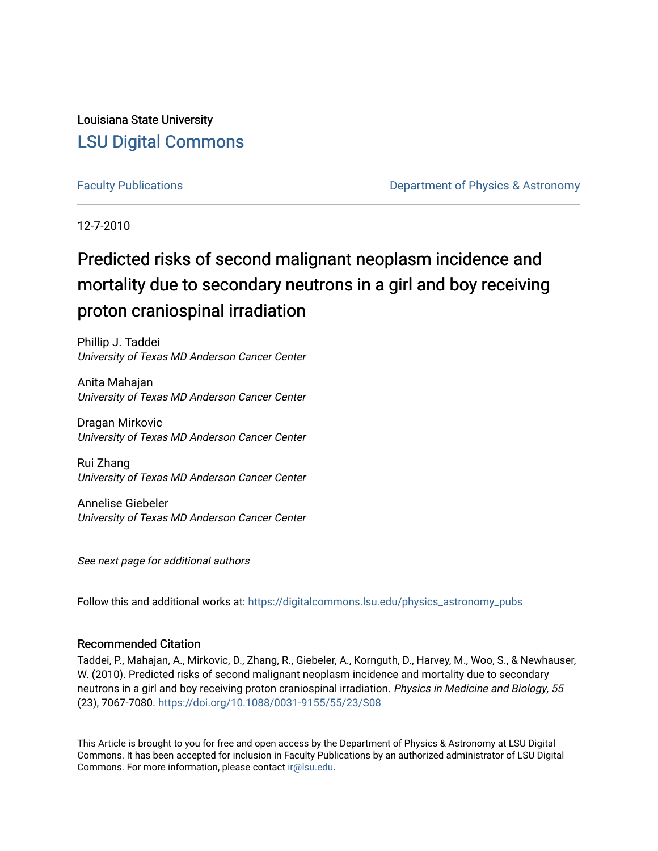Louisiana State University [LSU Digital Commons](https://digitalcommons.lsu.edu/)

[Faculty Publications](https://digitalcommons.lsu.edu/physics_astronomy_pubs) **Example 2** Constant Department of Physics & Astronomy

12-7-2010

### Predicted risks of second malignant neoplasm incidence and mortality due to secondary neutrons in a girl and boy receiving proton craniospinal irradiation

Phillip J. Taddei University of Texas MD Anderson Cancer Center

Anita Mahajan University of Texas MD Anderson Cancer Center

Dragan Mirkovic University of Texas MD Anderson Cancer Center

Rui Zhang University of Texas MD Anderson Cancer Center

Annelise Giebeler University of Texas MD Anderson Cancer Center

See next page for additional authors

Follow this and additional works at: [https://digitalcommons.lsu.edu/physics\\_astronomy\\_pubs](https://digitalcommons.lsu.edu/physics_astronomy_pubs?utm_source=digitalcommons.lsu.edu%2Fphysics_astronomy_pubs%2F3737&utm_medium=PDF&utm_campaign=PDFCoverPages) 

#### Recommended Citation

Taddei, P., Mahajan, A., Mirkovic, D., Zhang, R., Giebeler, A., Kornguth, D., Harvey, M., Woo, S., & Newhauser, W. (2010). Predicted risks of second malignant neoplasm incidence and mortality due to secondary neutrons in a girl and boy receiving proton craniospinal irradiation. Physics in Medicine and Biology, 55 (23), 7067-7080.<https://doi.org/10.1088/0031-9155/55/23/S08>

This Article is brought to you for free and open access by the Department of Physics & Astronomy at LSU Digital Commons. It has been accepted for inclusion in Faculty Publications by an authorized administrator of LSU Digital Commons. For more information, please contact [ir@lsu.edu](mailto:ir@lsu.edu).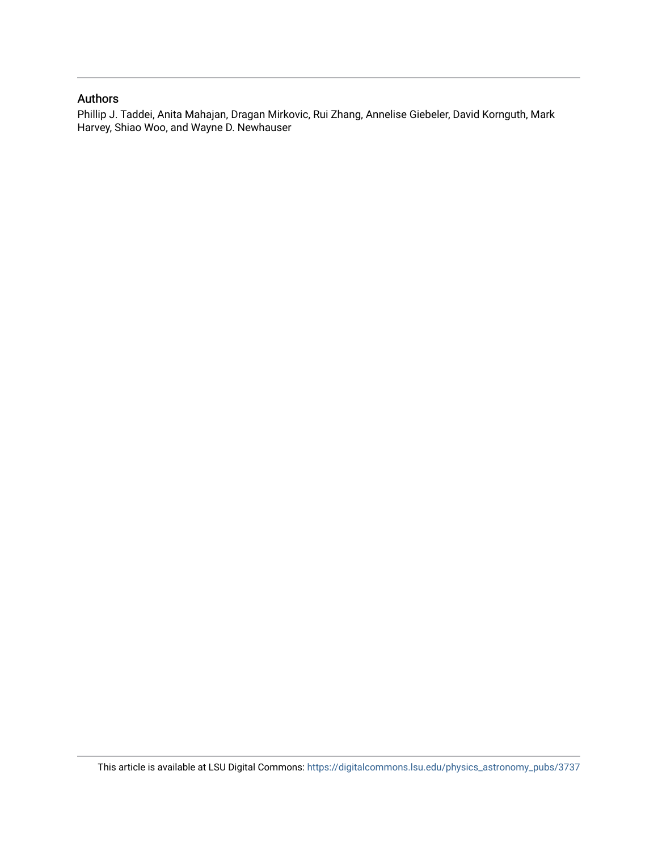#### Authors

Phillip J. Taddei, Anita Mahajan, Dragan Mirkovic, Rui Zhang, Annelise Giebeler, David Kornguth, Mark Harvey, Shiao Woo, and Wayne D. Newhauser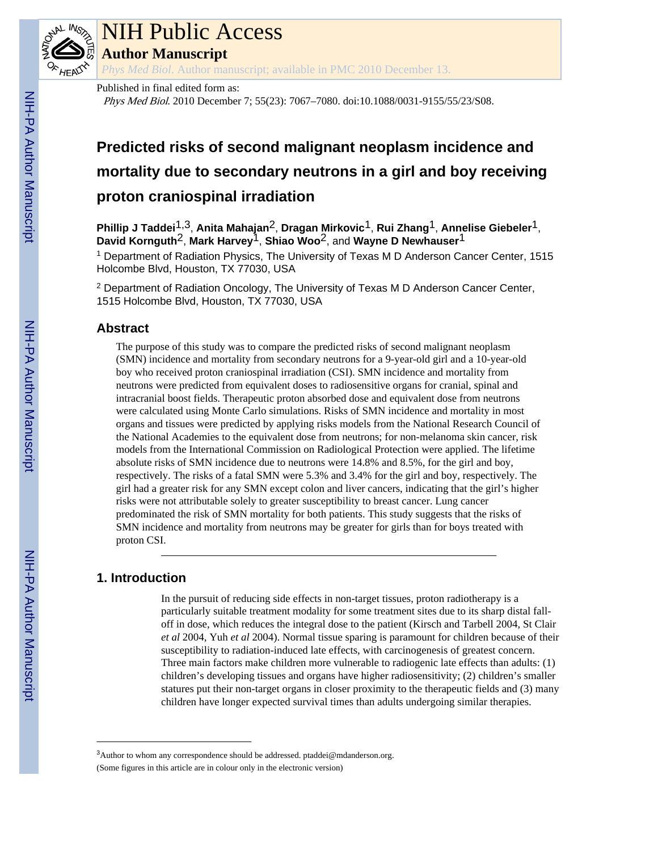

## NIH Public Access

**Author Manuscript**

*Phys Med Biol*. Author manuscript; available in PMC 2010 December 13.

Published in final edited form as:

Phys Med Biol. 2010 December 7; 55(23): 7067–7080. doi:10.1088/0031-9155/55/23/S08.

### **Predicted risks of second malignant neoplasm incidence and mortality due to secondary neutrons in a girl and boy receiving proton craniospinal irradiation**

**Phillip J Taddei**1,3, **Anita Mahajan**2, **Dragan Mirkovic**1, **Rui Zhang**1, **Annelise Giebeler**1, **David Kornguth**2, **Mark Harvey**1, **Shiao Woo**2, and **Wayne D Newhauser**1

<sup>1</sup> Department of Radiation Physics, The University of Texas M D Anderson Cancer Center, 1515 Holcombe Blvd, Houston, TX 77030, USA

<sup>2</sup> Department of Radiation Oncology, The University of Texas M D Anderson Cancer Center, 1515 Holcombe Blvd, Houston, TX 77030, USA

#### **Abstract**

The purpose of this study was to compare the predicted risks of second malignant neoplasm (SMN) incidence and mortality from secondary neutrons for a 9-year-old girl and a 10-year-old boy who received proton craniospinal irradiation (CSI). SMN incidence and mortality from neutrons were predicted from equivalent doses to radiosensitive organs for cranial, spinal and intracranial boost fields. Therapeutic proton absorbed dose and equivalent dose from neutrons were calculated using Monte Carlo simulations. Risks of SMN incidence and mortality in most organs and tissues were predicted by applying risks models from the National Research Council of the National Academies to the equivalent dose from neutrons; for non-melanoma skin cancer, risk models from the International Commission on Radiological Protection were applied. The lifetime absolute risks of SMN incidence due to neutrons were 14.8% and 8.5%, for the girl and boy, respectively. The risks of a fatal SMN were 5.3% and 3.4% for the girl and boy, respectively. The girl had a greater risk for any SMN except colon and liver cancers, indicating that the girl's higher risks were not attributable solely to greater susceptibility to breast cancer. Lung cancer predominated the risk of SMN mortality for both patients. This study suggests that the risks of SMN incidence and mortality from neutrons may be greater for girls than for boys treated with proton CSI.

### **1. Introduction**

In the pursuit of reducing side effects in non-target tissues, proton radiotherapy is a particularly suitable treatment modality for some treatment sites due to its sharp distal falloff in dose, which reduces the integral dose to the patient (Kirsch and Tarbell 2004, St Clair *et al* 2004, Yuh *et al* 2004). Normal tissue sparing is paramount for children because of their susceptibility to radiation-induced late effects, with carcinogenesis of greatest concern. Three main factors make children more vulnerable to radiogenic late effects than adults: (1) children's developing tissues and organs have higher radiosensitivity; (2) children's smaller statures put their non-target organs in closer proximity to the therapeutic fields and (3) many children have longer expected survival times than adults undergoing similar therapies.

<sup>&</sup>lt;sup>3</sup>Author to whom any correspondence should be addressed. ptaddei@mdanderson.org. (Some figures in this article are in colour only in the electronic version)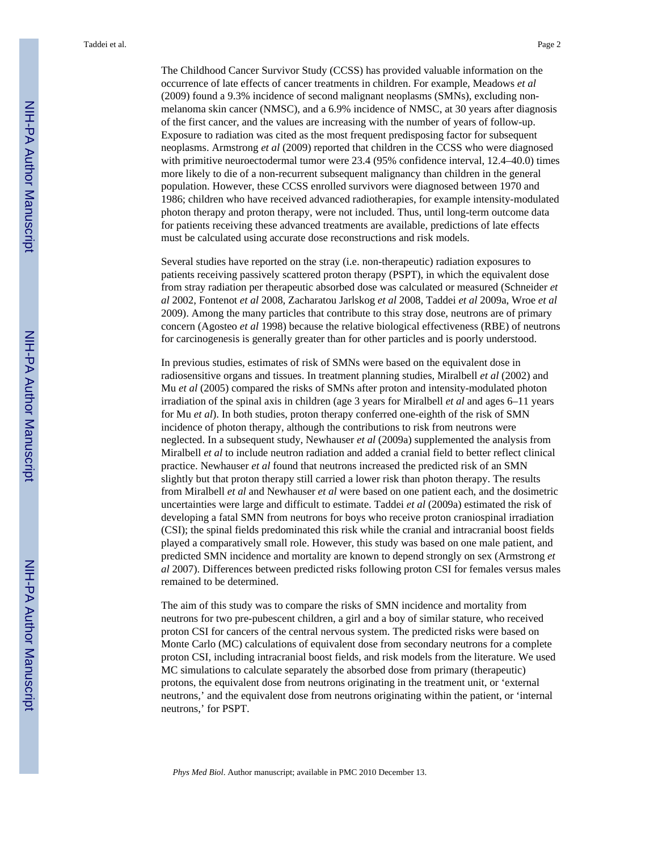The Childhood Cancer Survivor Study (CCSS) has provided valuable information on the occurrence of late effects of cancer treatments in children. For example, Meadows *et al* (2009) found a 9.3% incidence of second malignant neoplasms (SMNs), excluding nonmelanoma skin cancer (NMSC), and a 6.9% incidence of NMSC, at 30 years after diagnosis of the first cancer, and the values are increasing with the number of years of follow-up. Exposure to radiation was cited as the most frequent predisposing factor for subsequent neoplasms. Armstrong *et al* (2009) reported that children in the CCSS who were diagnosed with primitive neuroectodermal tumor were 23.4 (95% confidence interval, 12.4–40.0) times more likely to die of a non-recurrent subsequent malignancy than children in the general population. However, these CCSS enrolled survivors were diagnosed between 1970 and 1986; children who have received advanced radiotherapies, for example intensity-modulated photon therapy and proton therapy, were not included. Thus, until long-term outcome data for patients receiving these advanced treatments are available, predictions of late effects must be calculated using accurate dose reconstructions and risk models.

Several studies have reported on the stray (i.e. non-therapeutic) radiation exposures to patients receiving passively scattered proton therapy (PSPT), in which the equivalent dose from stray radiation per therapeutic absorbed dose was calculated or measured (Schneider *et al* 2002, Fontenot *et al* 2008, Zacharatou Jarlskog *et al* 2008, Taddei *et al* 2009a, Wroe *et al* 2009). Among the many particles that contribute to this stray dose, neutrons are of primary concern (Agosteo *et al* 1998) because the relative biological effectiveness (RBE) of neutrons for carcinogenesis is generally greater than for other particles and is poorly understood.

In previous studies, estimates of risk of SMNs were based on the equivalent dose in radiosensitive organs and tissues. In treatment planning studies, Miralbell *et al* (2002) and Mu *et al* (2005) compared the risks of SMNs after proton and intensity-modulated photon irradiation of the spinal axis in children (age 3 years for Miralbell *et al* and ages 6–11 years for Mu *et al*). In both studies, proton therapy conferred one-eighth of the risk of SMN incidence of photon therapy, although the contributions to risk from neutrons were neglected. In a subsequent study, Newhauser *et al* (2009a) supplemented the analysis from Miralbell *et al* to include neutron radiation and added a cranial field to better reflect clinical practice. Newhauser *et al* found that neutrons increased the predicted risk of an SMN slightly but that proton therapy still carried a lower risk than photon therapy. The results from Miralbell *et al* and Newhauser *et al* were based on one patient each, and the dosimetric uncertainties were large and difficult to estimate. Taddei *et al* (2009a) estimated the risk of developing a fatal SMN from neutrons for boys who receive proton craniospinal irradiation (CSI); the spinal fields predominated this risk while the cranial and intracranial boost fields played a comparatively small role. However, this study was based on one male patient, and predicted SMN incidence and mortality are known to depend strongly on sex (Armstrong *et al* 2007). Differences between predicted risks following proton CSI for females versus males remained to be determined.

The aim of this study was to compare the risks of SMN incidence and mortality from neutrons for two pre-pubescent children, a girl and a boy of similar stature, who received proton CSI for cancers of the central nervous system. The predicted risks were based on Monte Carlo (MC) calculations of equivalent dose from secondary neutrons for a complete proton CSI, including intracranial boost fields, and risk models from the literature. We used MC simulations to calculate separately the absorbed dose from primary (therapeutic) protons, the equivalent dose from neutrons originating in the treatment unit, or 'external neutrons,' and the equivalent dose from neutrons originating within the patient, or 'internal neutrons,' for PSPT.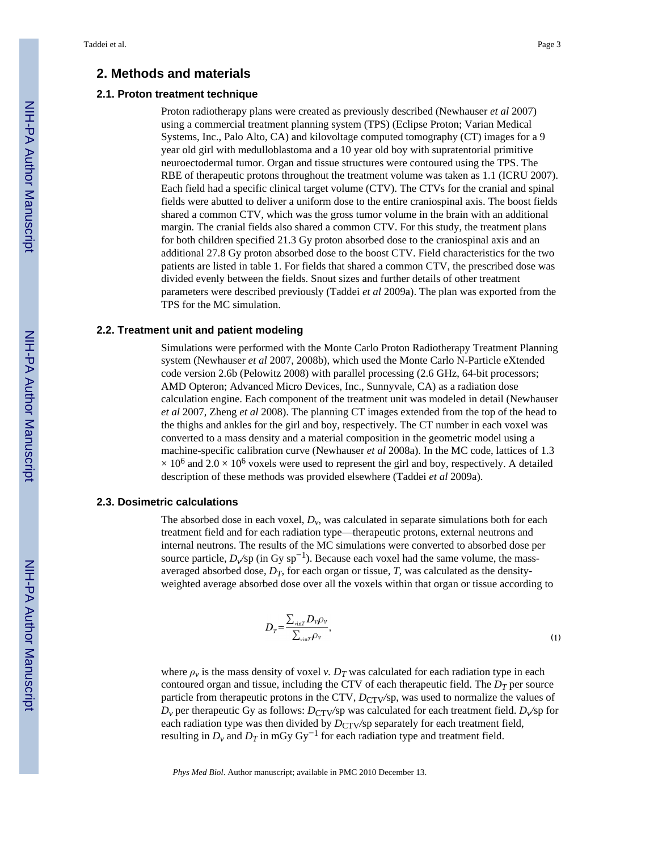#### **2. Methods and materials**

#### **2.1. Proton treatment technique**

Proton radiotherapy plans were created as previously described (Newhauser *et al* 2007) using a commercial treatment planning system (TPS) (Eclipse Proton; Varian Medical Systems, Inc., Palo Alto, CA) and kilovoltage computed tomography (CT) images for a 9 year old girl with medulloblastoma and a 10 year old boy with supratentorial primitive neuroectodermal tumor. Organ and tissue structures were contoured using the TPS. The RBE of therapeutic protons throughout the treatment volume was taken as 1.1 (ICRU 2007). Each field had a specific clinical target volume (CTV). The CTVs for the cranial and spinal fields were abutted to deliver a uniform dose to the entire craniospinal axis. The boost fields shared a common CTV, which was the gross tumor volume in the brain with an additional margin. The cranial fields also shared a common CTV. For this study, the treatment plans for both children specified 21.3 Gy proton absorbed dose to the craniospinal axis and an additional 27.8 Gy proton absorbed dose to the boost CTV. Field characteristics for the two patients are listed in table 1. For fields that shared a common CTV, the prescribed dose was divided evenly between the fields. Snout sizes and further details of other treatment parameters were described previously (Taddei *et al* 2009a). The plan was exported from the TPS for the MC simulation.

#### **2.2. Treatment unit and patient modeling**

Simulations were performed with the Monte Carlo Proton Radiotherapy Treatment Planning system (Newhauser *et al* 2007, 2008b), which used the Monte Carlo N-Particle eXtended code version 2.6b (Pelowitz 2008) with parallel processing (2.6 GHz, 64-bit processors; AMD Opteron; Advanced Micro Devices, Inc., Sunnyvale, CA) as a radiation dose calculation engine. Each component of the treatment unit was modeled in detail (Newhauser *et al* 2007, Zheng *et al* 2008). The planning CT images extended from the top of the head to the thighs and ankles for the girl and boy, respectively. The CT number in each voxel was converted to a mass density and a material composition in the geometric model using a machine-specific calibration curve (Newhauser *et al* 2008a). In the MC code, lattices of 1.3  $\times$  10<sup>6</sup> and 2.0  $\times$  10<sup>6</sup> voxels were used to represent the girl and boy, respectively. A detailed description of these methods was provided elsewhere (Taddei *et al* 2009a).

#### **2.3. Dosimetric calculations**

The absorbed dose in each voxel,  $D_{\nu}$ , was calculated in separate simulations both for each treatment field and for each radiation type—therapeutic protons, external neutrons and internal neutrons. The results of the MC simulations were converted to absorbed dose per source particle,  $D_v$ /sp (in Gy sp<sup>-1</sup>). Because each voxel had the same volume, the massaveraged absorbed dose,  $D_T$ , for each organ or tissue, *T*, was calculated as the densityweighted average absorbed dose over all the voxels within that organ or tissue according to

$$
D_T = \frac{\sum_{\rm vir} D_{\rm v} \rho_{\rm v}}{\sum_{\rm vir} \rho_{\rm v}},\tag{1}
$$

where  $\rho_v$  is the mass density of voxel *v*.  $D_T$  was calculated for each radiation type in each contoured organ and tissue, including the CTV of each therapeutic field. The *DT* per source particle from therapeutic protons in the CTV,  $D_{CTV}/sp$ , was used to normalize the values of  $D_v$  per therapeutic Gy as follows:  $D_{\text{CTV}}/p$  was calculated for each treatment field.  $D_v$  for each radiation type was then divided by  $D_{\text{CTV}}/sp$  separately for each treatment field, resulting in  $D_v$  and  $D_T$  in mGy Gy<sup>-1</sup> for each radiation type and treatment field.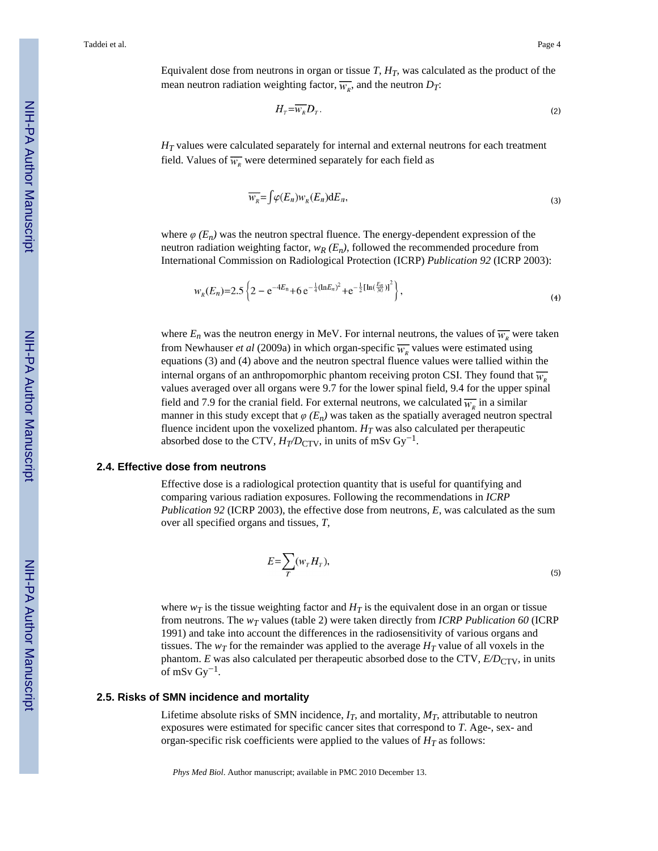Equivalent dose from neutrons in organ or tissue  $T$ ,  $H_T$ , was calculated as the product of the mean neutron radiation weighting factor,  $\overline{w_R}$ , and the neutron  $D_T$ :

$$
H_{\scriptscriptstyle T} = \overline{W_{\scriptscriptstyle R}} D_{\scriptscriptstyle T} \,. \tag{2}
$$

*H<sub>T</sub>* values were calculated separately for internal and external neutrons for each treatment field. Values of  $\overline{w_{R}}$  were determined separately for each field as

$$
\overline{W_R} = \int \varphi(E_n) W_R(E_n) \mathrm{d}E_n,\tag{3}
$$

where  $\varphi$  ( $E_n$ ) was the neutron spectral fluence. The energy-dependent expression of the neutron radiation weighting factor,  $w_R$  ( $E_n$ ), followed the recommended procedure from International Commission on Radiological Protection (ICRP) *Publication 92* (ICRP 2003):

$$
w_R(E_n) = 2.5 \left\{ 2 - e^{-4E_n} + 6 e^{-\frac{1}{4} (\ln E_n)^2} + e^{-\frac{1}{2} [\ln(\frac{E_n}{30})]^2} \right\},
$$
\n(4)

where  $E_n$  was the neutron energy in MeV. For internal neutrons, the values of  $\overline{w_k}$  were taken from Newhauser *et al* (2009a) in which organ-specific  $\overline{w_R}$  values were estimated using equations (3) and (4) above and the neutron spectral fluence values were tallied within the internal organs of an anthropomorphic phantom receiving proton CSI. They found that  $\overline{w_k}$ values averaged over all organs were 9.7 for the lower spinal field, 9.4 for the upper spinal field and 7.9 for the cranial field. For external neutrons, we calculated  $\overline{w}_n$  in a similar manner in this study except that  $\varphi$  ( $E_n$ ) was taken as the spatially averaged neutron spectral fluence incident upon the voxelized phantom.  $H_T$  was also calculated per therapeutic absorbed dose to the CTV,  $H_T/D_{\text{CTV}}$ , in units of mSv Gy<sup>-1</sup>.

#### **2.4. Effective dose from neutrons**

Effective dose is a radiological protection quantity that is useful for quantifying and comparing various radiation exposures. Following the recommendations in *ICRP Publication 92* (ICRP 2003), the effective dose from neutrons, *E*, was calculated as the sum over all specified organs and tissues, *T*,

$$
E = \sum_{T} (w_{T} H_{T}), \tag{5}
$$

where  $w_T$  is the tissue weighting factor and  $H_T$  is the equivalent dose in an organ or tissue from neutrons. The *wT* values (table 2) were taken directly from *ICRP Publication 60* (ICRP 1991) and take into account the differences in the radiosensitivity of various organs and tissues. The  $w_T$  for the remainder was applied to the average  $H_T$  value of all voxels in the phantom. *E* was also calculated per therapeutic absorbed dose to the CTV,  $E/D_{\text{CTV}}$ , in units of mSv  $\text{Gy}^{-1}$ .

#### **2.5. Risks of SMN incidence and mortality**

Lifetime absolute risks of SMN incidence,  $I_T$ , and mortality,  $M_T$ , attributable to neutron exposures were estimated for specific cancer sites that correspond to *T*. Age-, sex- and organ-specific risk coefficients were applied to the values of  $H_T$  as follows: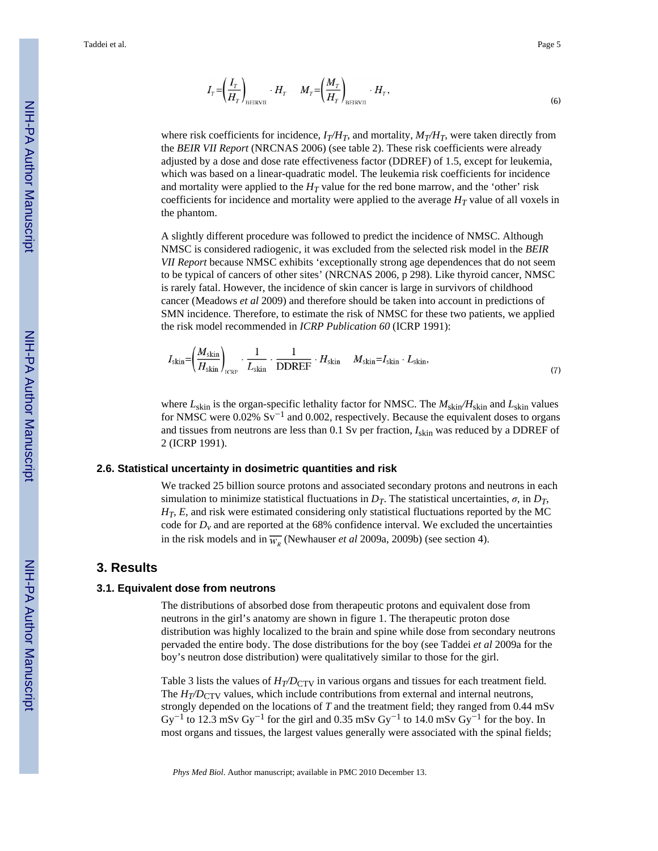$$
I_T = \left(\frac{I_T}{H_T}\right)_{\text{BERTVII}} \cdot H_T \qquad M_T = \left(\frac{M_T}{H_T}\right)_{\text{BERTVII}} \cdot H_T, \tag{6}
$$

where risk coefficients for incidence,  $I_T/H_T$ , and mortality,  $M_T/H_T$ , were taken directly from the *BEIR VII Report* (NRCNAS 2006) (see table 2). These risk coefficients were already adjusted by a dose and dose rate effectiveness factor (DDREF) of 1.5, except for leukemia, which was based on a linear-quadratic model. The leukemia risk coefficients for incidence and mortality were applied to the  $H_T$  value for the red bone marrow, and the 'other' risk coefficients for incidence and mortality were applied to the average  $H_T$  value of all voxels in the phantom.

A slightly different procedure was followed to predict the incidence of NMSC. Although NMSC is considered radiogenic, it was excluded from the selected risk model in the *BEIR VII Report* because NMSC exhibits 'exceptionally strong age dependences that do not seem to be typical of cancers of other sites' (NRCNAS 2006, p 298). Like thyroid cancer, NMSC is rarely fatal. However, the incidence of skin cancer is large in survivors of childhood cancer (Meadows *et al* 2009) and therefore should be taken into account in predictions of SMN incidence. Therefore, to estimate the risk of NMSC for these two patients, we applied the risk model recommended in *ICRP Publication 60* (ICRP 1991):

$$
I_{\text{skin}} = \left(\frac{M_{\text{skin}}}{H_{\text{skin}}}\right)_{\text{ICRP}} \cdot \frac{1}{L_{\text{skin}}} \cdot \frac{1}{\text{DDREF}} \cdot H_{\text{skin}} \quad M_{\text{skin}} = I_{\text{skin}} \cdot L_{\text{skin}},\tag{7}
$$

where  $L_{\text{skin}}$  is the organ-specific lethality factor for NMSC. The  $M_{\text{skin}}/H_{\text{skin}}$  and  $L_{\text{skin}}$  values for NMSC were 0.02% Sv<sup>-1</sup> and 0.002, respectively. Because the equivalent doses to organs and tissues from neutrons are less than 0.1 Sv per fraction, *I*skin was reduced by a DDREF of 2 (ICRP 1991).

#### **2.6. Statistical uncertainty in dosimetric quantities and risk**

We tracked 25 billion source protons and associated secondary protons and neutrons in each simulation to minimize statistical fluctuations in *DT*. The statistical uncertainties, *σ*, in *DT*, *HT*, *E*, and risk were estimated considering only statistical fluctuations reported by the MC code for  $D_v$  and are reported at the 68% confidence interval. We excluded the uncertainties in the risk models and in  $\overline{w_R}$  (Newhauser *et al* 2009a, 2009b) (see section 4).

#### **3. Results**

#### **3.1. Equivalent dose from neutrons**

The distributions of absorbed dose from therapeutic protons and equivalent dose from neutrons in the girl's anatomy are shown in figure 1. The therapeutic proton dose distribution was highly localized to the brain and spine while dose from secondary neutrons pervaded the entire body. The dose distributions for the boy (see Taddei *et al* 2009a for the boy's neutron dose distribution) were qualitatively similar to those for the girl.

Table 3 lists the values of  $H_T/D_{\text{CTV}}$  in various organs and tissues for each treatment field. The  $H_T/D_{\text{CTV}}$  values, which include contributions from external and internal neutrons, strongly depended on the locations of *T* and the treatment field; they ranged from 0.44 mSv  $\text{Gy}^{-1}$  to 12.3 mSv  $\text{Gy}^{-1}$  for the girl and 0.35 mSv  $\text{Gy}^{-1}$  to 14.0 mSv  $\text{Gy}^{-1}$  for the boy. In most organs and tissues, the largest values generally were associated with the spinal fields;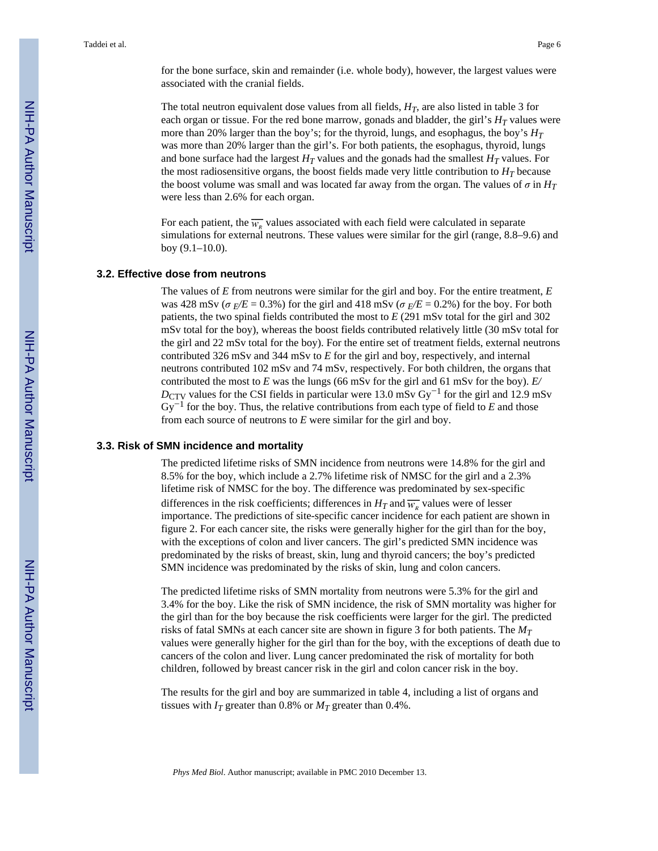for the bone surface, skin and remainder (i.e. whole body), however, the largest values were associated with the cranial fields.

The total neutron equivalent dose values from all fields,  $H_T$ , are also listed in table 3 for each organ or tissue. For the red bone marrow, gonads and bladder, the girl's  $H_T$  values were more than 20% larger than the boy's; for the thyroid, lungs, and esophagus, the boy's *H<sup>T</sup>* was more than 20% larger than the girl's. For both patients, the esophagus, thyroid, lungs and bone surface had the largest  $H_T$  values and the gonads had the smallest  $H_T$  values. For the most radiosensitive organs, the boost fields made very little contribution to  $H_T$  because the boost volume was small and was located far away from the organ. The values of  $\sigma$  in  $H_T$ were less than 2.6% for each organ.

For each patient, the  $\overline{w_R}$  values associated with each field were calculated in separate simulations for external neutrons. These values were similar for the girl (range, 8.8–9.6) and boy (9.1–10.0).

#### **3.2. Effective dose from neutrons**

The values of *E* from neutrons were similar for the girl and boy. For the entire treatment, *E* was 428 mSv ( $\sigma$ <sub>E</sub>/E = 0.3%) for the girl and 418 mSv ( $\sigma$ <sub>E</sub>/E = 0.2%) for the boy. For both patients, the two spinal fields contributed the most to *E* (291 mSv total for the girl and 302 mSv total for the boy), whereas the boost fields contributed relatively little (30 mSv total for the girl and 22 mSv total for the boy). For the entire set of treatment fields, external neutrons contributed 326 mSv and 344 mSv to *E* for the girl and boy, respectively, and internal neutrons contributed 102 mSv and 74 mSv, respectively. For both children, the organs that contributed the most to *E* was the lungs (66 mSv for the girl and 61 mSv for the boy).  $E/$ *D*<sub>CTV</sub> values for the CSI fields in particular were 13.0 mSv Gy<sup>-1</sup> for the girl and 12.9 mSv Gy−<sup>1</sup> for the boy. Thus, the relative contributions from each type of field to *E* and those from each source of neutrons to *E* were similar for the girl and boy.

#### **3.3. Risk of SMN incidence and mortality**

The predicted lifetime risks of SMN incidence from neutrons were 14.8% for the girl and 8.5% for the boy, which include a 2.7% lifetime risk of NMSC for the girl and a 2.3% lifetime risk of NMSC for the boy. The difference was predominated by sex-specific differences in the risk coefficients; differences in  $H_T$  and  $\overline{w}_v$  values were of lesser importance. The predictions of site-specific cancer incidence for each patient are shown in figure 2. For each cancer site, the risks were generally higher for the girl than for the boy, with the exceptions of colon and liver cancers. The girl's predicted SMN incidence was predominated by the risks of breast, skin, lung and thyroid cancers; the boy's predicted SMN incidence was predominated by the risks of skin, lung and colon cancers.

The predicted lifetime risks of SMN mortality from neutrons were 5.3% for the girl and 3.4% for the boy. Like the risk of SMN incidence, the risk of SMN mortality was higher for the girl than for the boy because the risk coefficients were larger for the girl. The predicted risks of fatal SMNs at each cancer site are shown in figure 3 for both patients. The *M<sup>T</sup>* values were generally higher for the girl than for the boy, with the exceptions of death due to cancers of the colon and liver. Lung cancer predominated the risk of mortality for both children, followed by breast cancer risk in the girl and colon cancer risk in the boy.

The results for the girl and boy are summarized in table 4, including a list of organs and tissues with  $I_T$  greater than 0.8% or  $M_T$  greater than 0.4%.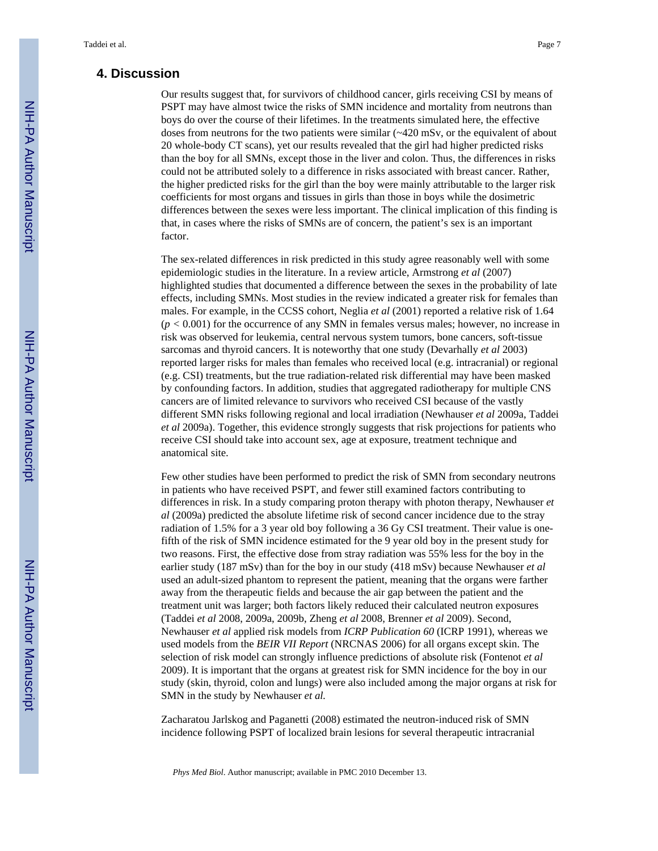#### **4. Discussion**

Our results suggest that, for survivors of childhood cancer, girls receiving CSI by means of PSPT may have almost twice the risks of SMN incidence and mortality from neutrons than boys do over the course of their lifetimes. In the treatments simulated here, the effective doses from neutrons for the two patients were similar (~420 mSv, or the equivalent of about 20 whole-body CT scans), yet our results revealed that the girl had higher predicted risks than the boy for all SMNs, except those in the liver and colon. Thus, the differences in risks could not be attributed solely to a difference in risks associated with breast cancer. Rather, the higher predicted risks for the girl than the boy were mainly attributable to the larger risk coefficients for most organs and tissues in girls than those in boys while the dosimetric differences between the sexes were less important. The clinical implication of this finding is that, in cases where the risks of SMNs are of concern, the patient's sex is an important factor.

The sex-related differences in risk predicted in this study agree reasonably well with some epidemiologic studies in the literature. In a review article, Armstrong *et al* (2007) highlighted studies that documented a difference between the sexes in the probability of late effects, including SMNs. Most studies in the review indicated a greater risk for females than males. For example, in the CCSS cohort, Neglia *et al* (2001) reported a relative risk of 1.64 (*p <* 0.001) for the occurrence of any SMN in females versus males; however, no increase in risk was observed for leukemia, central nervous system tumors, bone cancers, soft-tissue sarcomas and thyroid cancers. It is noteworthy that one study (Devarhally *et al* 2003) reported larger risks for males than females who received local (e.g. intracranial) or regional (e.g. CSI) treatments, but the true radiation-related risk differential may have been masked by confounding factors. In addition, studies that aggregated radiotherapy for multiple CNS cancers are of limited relevance to survivors who received CSI because of the vastly different SMN risks following regional and local irradiation (Newhauser *et al* 2009a, Taddei *et al* 2009a). Together, this evidence strongly suggests that risk projections for patients who receive CSI should take into account sex, age at exposure, treatment technique and anatomical site.

Few other studies have been performed to predict the risk of SMN from secondary neutrons in patients who have received PSPT, and fewer still examined factors contributing to differences in risk. In a study comparing proton therapy with photon therapy, Newhauser *et al* (2009a) predicted the absolute lifetime risk of second cancer incidence due to the stray radiation of 1.5% for a 3 year old boy following a 36 Gy CSI treatment. Their value is onefifth of the risk of SMN incidence estimated for the 9 year old boy in the present study for two reasons. First, the effective dose from stray radiation was 55% less for the boy in the earlier study (187 mSv) than for the boy in our study (418 mSv) because Newhauser *et al* used an adult-sized phantom to represent the patient, meaning that the organs were farther away from the therapeutic fields and because the air gap between the patient and the treatment unit was larger; both factors likely reduced their calculated neutron exposures (Taddei *et al* 2008, 2009a, 2009b, Zheng *et al* 2008, Brenner *et al* 2009). Second, Newhauser *et al* applied risk models from *ICRP Publication 60* (ICRP 1991), whereas we used models from the *BEIR VII Report* (NRCNAS 2006) for all organs except skin. The selection of risk model can strongly influence predictions of absolute risk (Fontenot *et al* 2009). It is important that the organs at greatest risk for SMN incidence for the boy in our study (skin, thyroid, colon and lungs) were also included among the major organs at risk for SMN in the study by Newhauser *et al.*

Zacharatou Jarlskog and Paganetti (2008) estimated the neutron-induced risk of SMN incidence following PSPT of localized brain lesions for several therapeutic intracranial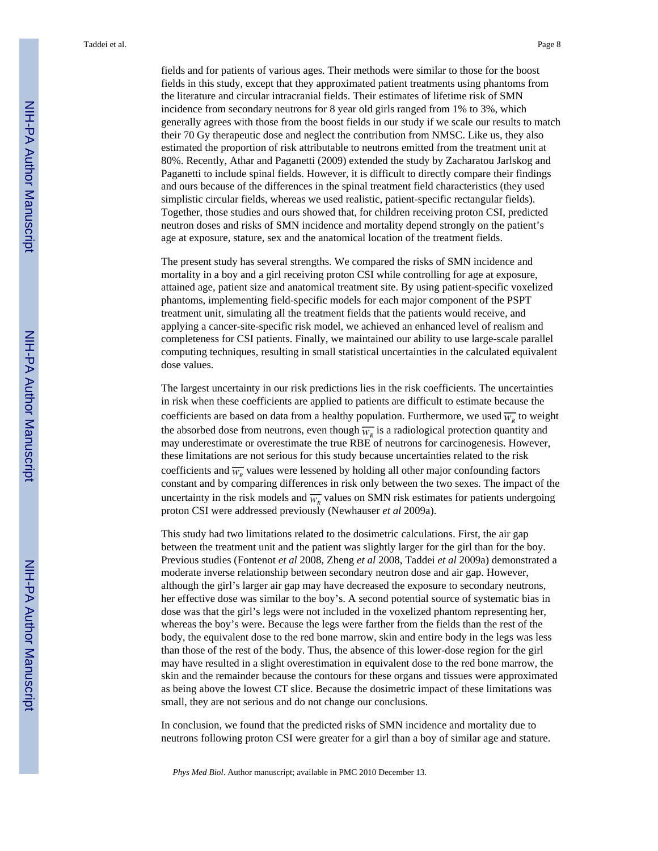fields and for patients of various ages. Their methods were similar to those for the boost fields in this study, except that they approximated patient treatments using phantoms from the literature and circular intracranial fields. Their estimates of lifetime risk of SMN incidence from secondary neutrons for 8 year old girls ranged from 1% to 3%, which generally agrees with those from the boost fields in our study if we scale our results to match their 70 Gy therapeutic dose and neglect the contribution from NMSC. Like us, they also estimated the proportion of risk attributable to neutrons emitted from the treatment unit at 80%. Recently, Athar and Paganetti (2009) extended the study by Zacharatou Jarlskog and Paganetti to include spinal fields. However, it is difficult to directly compare their findings and ours because of the differences in the spinal treatment field characteristics (they used simplistic circular fields, whereas we used realistic, patient-specific rectangular fields). Together, those studies and ours showed that, for children receiving proton CSI, predicted neutron doses and risks of SMN incidence and mortality depend strongly on the patient's age at exposure, stature, sex and the anatomical location of the treatment fields.

The present study has several strengths. We compared the risks of SMN incidence and mortality in a boy and a girl receiving proton CSI while controlling for age at exposure, attained age, patient size and anatomical treatment site. By using patient-specific voxelized phantoms, implementing field-specific models for each major component of the PSPT treatment unit, simulating all the treatment fields that the patients would receive, and applying a cancer-site-specific risk model, we achieved an enhanced level of realism and completeness for CSI patients. Finally, we maintained our ability to use large-scale parallel computing techniques, resulting in small statistical uncertainties in the calculated equivalent dose values.

The largest uncertainty in our risk predictions lies in the risk coefficients. The uncertainties in risk when these coefficients are applied to patients are difficult to estimate because the coefficients are based on data from a healthy population. Furthermore, we used  $\overline{w_R}$  to weight the absorbed dose from neutrons, even though  $\overline{w_{R}}$  is a radiological protection quantity and may underestimate or overestimate the true RBE of neutrons for carcinogenesis. However, these limitations are not serious for this study because uncertainties related to the risk coefficients and  $\overline{w_R}$  values were lessened by holding all other major confounding factors constant and by comparing differences in risk only between the two sexes. The impact of the uncertainty in the risk models and  $\overline{w_k}$  values on SMN risk estimates for patients undergoing proton CSI were addressed previously (Newhauser *et al* 2009a).

This study had two limitations related to the dosimetric calculations. First, the air gap between the treatment unit and the patient was slightly larger for the girl than for the boy. Previous studies (Fontenot *et al* 2008, Zheng *et al* 2008, Taddei *et al* 2009a) demonstrated a moderate inverse relationship between secondary neutron dose and air gap. However, although the girl's larger air gap may have decreased the exposure to secondary neutrons, her effective dose was similar to the boy's. A second potential source of systematic bias in dose was that the girl's legs were not included in the voxelized phantom representing her, whereas the boy's were. Because the legs were farther from the fields than the rest of the body, the equivalent dose to the red bone marrow, skin and entire body in the legs was less than those of the rest of the body. Thus, the absence of this lower-dose region for the girl may have resulted in a slight overestimation in equivalent dose to the red bone marrow, the skin and the remainder because the contours for these organs and tissues were approximated as being above the lowest CT slice. Because the dosimetric impact of these limitations was small, they are not serious and do not change our conclusions.

In conclusion, we found that the predicted risks of SMN incidence and mortality due to neutrons following proton CSI were greater for a girl than a boy of similar age and stature.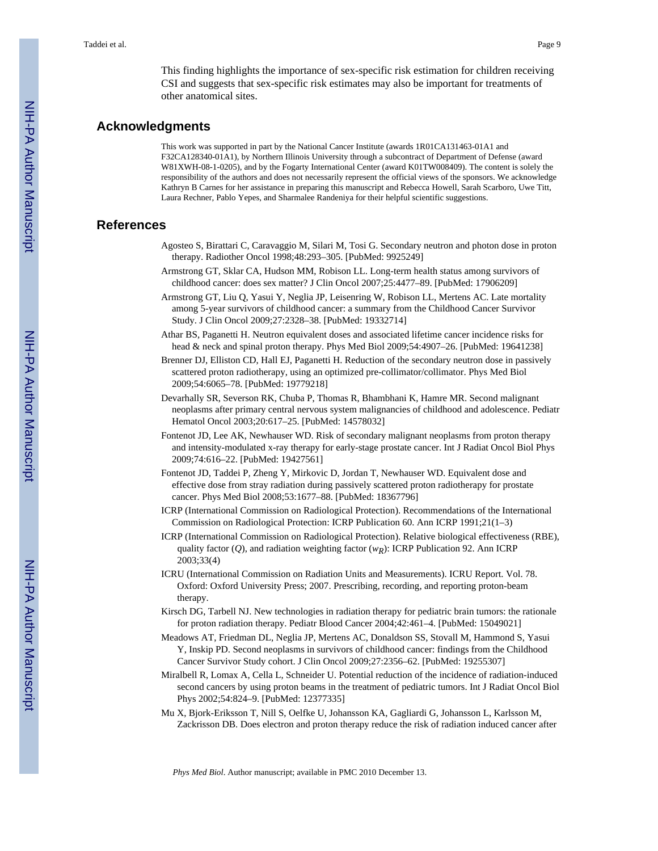This finding highlights the importance of sex-specific risk estimation for children receiving CSI and suggests that sex-specific risk estimates may also be important for treatments of other anatomical sites.

#### **Acknowledgments**

This work was supported in part by the National Cancer Institute (awards 1R01CA131463-01A1 and F32CA128340-01A1), by Northern Illinois University through a subcontract of Department of Defense (award W81XWH-08-1-0205), and by the Fogarty International Center (award K01TW008409). The content is solely the responsibility of the authors and does not necessarily represent the official views of the sponsors. We acknowledge Kathryn B Carnes for her assistance in preparing this manuscript and Rebecca Howell, Sarah Scarboro, Uwe Titt, Laura Rechner, Pablo Yepes, and Sharmalee Randeniya for their helpful scientific suggestions.

#### **References**

- Agosteo S, Birattari C, Caravaggio M, Silari M, Tosi G. Secondary neutron and photon dose in proton therapy. Radiother Oncol 1998;48:293–305. [PubMed: 9925249]
- Armstrong GT, Sklar CA, Hudson MM, Robison LL. Long-term health status among survivors of childhood cancer: does sex matter? J Clin Oncol 2007;25:4477–89. [PubMed: 17906209]
- Armstrong GT, Liu Q, Yasui Y, Neglia JP, Leisenring W, Robison LL, Mertens AC. Late mortality among 5-year survivors of childhood cancer: a summary from the Childhood Cancer Survivor Study. J Clin Oncol 2009;27:2328–38. [PubMed: 19332714]
- Athar BS, Paganetti H. Neutron equivalent doses and associated lifetime cancer incidence risks for head & neck and spinal proton therapy. Phys Med Biol 2009;54:4907–26. [PubMed: 19641238]
- Brenner DJ, Elliston CD, Hall EJ, Paganetti H. Reduction of the secondary neutron dose in passively scattered proton radiotherapy, using an optimized pre-collimator/collimator. Phys Med Biol 2009;54:6065–78. [PubMed: 19779218]
- Devarhally SR, Severson RK, Chuba P, Thomas R, Bhambhani K, Hamre MR. Second malignant neoplasms after primary central nervous system malignancies of childhood and adolescence. Pediatr Hematol Oncol 2003;20:617–25. [PubMed: 14578032]
- Fontenot JD, Lee AK, Newhauser WD. Risk of secondary malignant neoplasms from proton therapy and intensity-modulated x-ray therapy for early-stage prostate cancer. Int J Radiat Oncol Biol Phys 2009;74:616–22. [PubMed: 19427561]
- Fontenot JD, Taddei P, Zheng Y, Mirkovic D, Jordan T, Newhauser WD. Equivalent dose and effective dose from stray radiation during passively scattered proton radiotherapy for prostate cancer. Phys Med Biol 2008;53:1677–88. [PubMed: 18367796]
- ICRP (International Commission on Radiological Protection). Recommendations of the International Commission on Radiological Protection: ICRP Publication 60. Ann ICRP 1991;21(1–3)
- ICRP (International Commission on Radiological Protection). Relative biological effectiveness (RBE), quality factor (*Q*), and radiation weighting factor (*wR*): ICRP Publication 92. Ann ICRP 2003;33(4)
- ICRU (International Commission on Radiation Units and Measurements). ICRU Report. Vol. 78. Oxford: Oxford University Press; 2007. Prescribing, recording, and reporting proton-beam therapy.
- Kirsch DG, Tarbell NJ. New technologies in radiation therapy for pediatric brain tumors: the rationale for proton radiation therapy. Pediatr Blood Cancer 2004;42:461–4. [PubMed: 15049021]
- Meadows AT, Friedman DL, Neglia JP, Mertens AC, Donaldson SS, Stovall M, Hammond S, Yasui Y, Inskip PD. Second neoplasms in survivors of childhood cancer: findings from the Childhood Cancer Survivor Study cohort. J Clin Oncol 2009;27:2356–62. [PubMed: 19255307]
- Miralbell R, Lomax A, Cella L, Schneider U. Potential reduction of the incidence of radiation-induced second cancers by using proton beams in the treatment of pediatric tumors. Int J Radiat Oncol Biol Phys 2002;54:824–9. [PubMed: 12377335]
- Mu X, Bjork-Eriksson T, Nill S, Oelfke U, Johansson KA, Gagliardi G, Johansson L, Karlsson M, Zackrisson DB. Does electron and proton therapy reduce the risk of radiation induced cancer after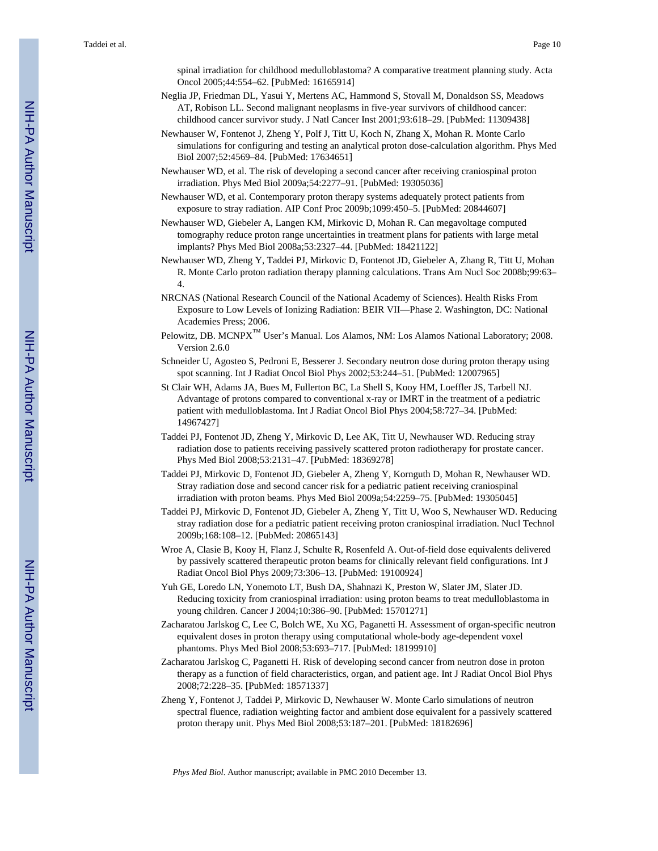spinal irradiation for childhood medulloblastoma? A comparative treatment planning study. Acta Oncol 2005;44:554–62. [PubMed: 16165914]

- Neglia JP, Friedman DL, Yasui Y, Mertens AC, Hammond S, Stovall M, Donaldson SS, Meadows AT, Robison LL. Second malignant neoplasms in five-year survivors of childhood cancer: childhood cancer survivor study. J Natl Cancer Inst 2001;93:618–29. [PubMed: 11309438]
- Newhauser W, Fontenot J, Zheng Y, Polf J, Titt U, Koch N, Zhang X, Mohan R. Monte Carlo simulations for configuring and testing an analytical proton dose-calculation algorithm. Phys Med Biol 2007;52:4569–84. [PubMed: 17634651]
- Newhauser WD, et al. The risk of developing a second cancer after receiving craniospinal proton irradiation. Phys Med Biol 2009a;54:2277–91. [PubMed: 19305036]
- Newhauser WD, et al. Contemporary proton therapy systems adequately protect patients from exposure to stray radiation. AIP Conf Proc 2009b;1099:450–5. [PubMed: 20844607]
- Newhauser WD, Giebeler A, Langen KM, Mirkovic D, Mohan R. Can megavoltage computed tomography reduce proton range uncertainties in treatment plans for patients with large metal implants? Phys Med Biol 2008a;53:2327–44. [PubMed: 18421122]
- Newhauser WD, Zheng Y, Taddei PJ, Mirkovic D, Fontenot JD, Giebeler A, Zhang R, Titt U, Mohan R. Monte Carlo proton radiation therapy planning calculations. Trans Am Nucl Soc 2008b;99:63– 4.
- NRCNAS (National Research Council of the National Academy of Sciences). Health Risks From Exposure to Low Levels of Ionizing Radiation: BEIR VII—Phase 2. Washington, DC: National Academies Press; 2006.
- Pelowitz, DB. MCNPX<sup>™</sup> User's Manual. Los Alamos, NM: Los Alamos National Laboratory; 2008. Version 2.6.0
- Schneider U, Agosteo S, Pedroni E, Besserer J. Secondary neutron dose during proton therapy using spot scanning. Int J Radiat Oncol Biol Phys 2002;53:244–51. [PubMed: 12007965]
- St Clair WH, Adams JA, Bues M, Fullerton BC, La Shell S, Kooy HM, Loeffler JS, Tarbell NJ. Advantage of protons compared to conventional x-ray or IMRT in the treatment of a pediatric patient with medulloblastoma. Int J Radiat Oncol Biol Phys 2004;58:727–34. [PubMed: 14967427]
- Taddei PJ, Fontenot JD, Zheng Y, Mirkovic D, Lee AK, Titt U, Newhauser WD. Reducing stray radiation dose to patients receiving passively scattered proton radiotherapy for prostate cancer. Phys Med Biol 2008;53:2131–47. [PubMed: 18369278]
- Taddei PJ, Mirkovic D, Fontenot JD, Giebeler A, Zheng Y, Kornguth D, Mohan R, Newhauser WD. Stray radiation dose and second cancer risk for a pediatric patient receiving craniospinal irradiation with proton beams. Phys Med Biol 2009a;54:2259–75. [PubMed: 19305045]
- Taddei PJ, Mirkovic D, Fontenot JD, Giebeler A, Zheng Y, Titt U, Woo S, Newhauser WD. Reducing stray radiation dose for a pediatric patient receiving proton craniospinal irradiation. Nucl Technol 2009b;168:108–12. [PubMed: 20865143]
- Wroe A, Clasie B, Kooy H, Flanz J, Schulte R, Rosenfeld A. Out-of-field dose equivalents delivered by passively scattered therapeutic proton beams for clinically relevant field configurations. Int J Radiat Oncol Biol Phys 2009;73:306–13. [PubMed: 19100924]
- Yuh GE, Loredo LN, Yonemoto LT, Bush DA, Shahnazi K, Preston W, Slater JM, Slater JD. Reducing toxicity from craniospinal irradiation: using proton beams to treat medulloblastoma in young children. Cancer J 2004;10:386–90. [PubMed: 15701271]
- Zacharatou Jarlskog C, Lee C, Bolch WE, Xu XG, Paganetti H. Assessment of organ-specific neutron equivalent doses in proton therapy using computational whole-body age-dependent voxel phantoms. Phys Med Biol 2008;53:693–717. [PubMed: 18199910]
- Zacharatou Jarlskog C, Paganetti H. Risk of developing second cancer from neutron dose in proton therapy as a function of field characteristics, organ, and patient age. Int J Radiat Oncol Biol Phys 2008;72:228–35. [PubMed: 18571337]
- Zheng Y, Fontenot J, Taddei P, Mirkovic D, Newhauser W. Monte Carlo simulations of neutron spectral fluence, radiation weighting factor and ambient dose equivalent for a passively scattered proton therapy unit. Phys Med Biol 2008;53:187–201. [PubMed: 18182696]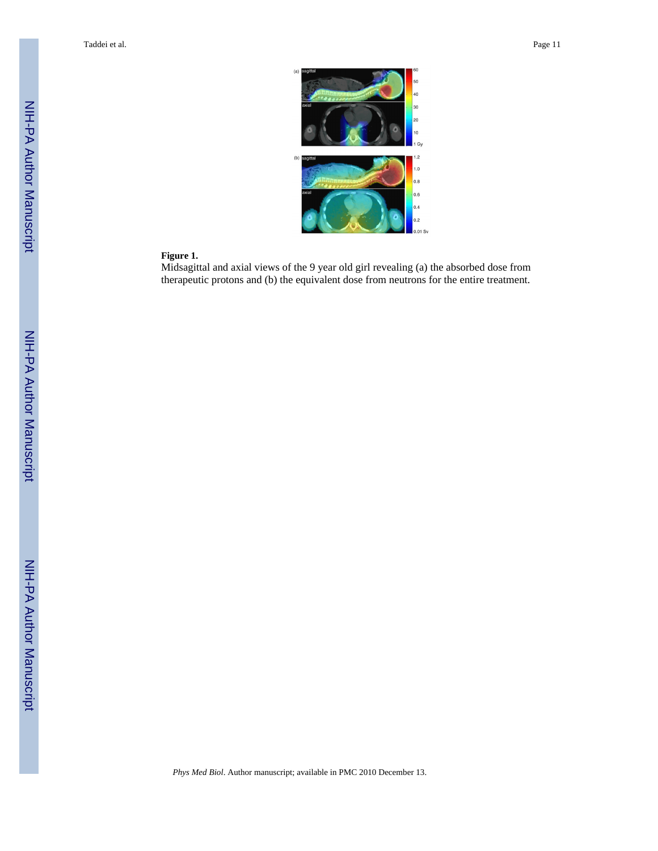

#### **Figure 1.**

Midsagittal and axial views of the 9 year old girl revealing (a) the absorbed dose from therapeutic protons and (b) the equivalent dose from neutrons for the entire treatment.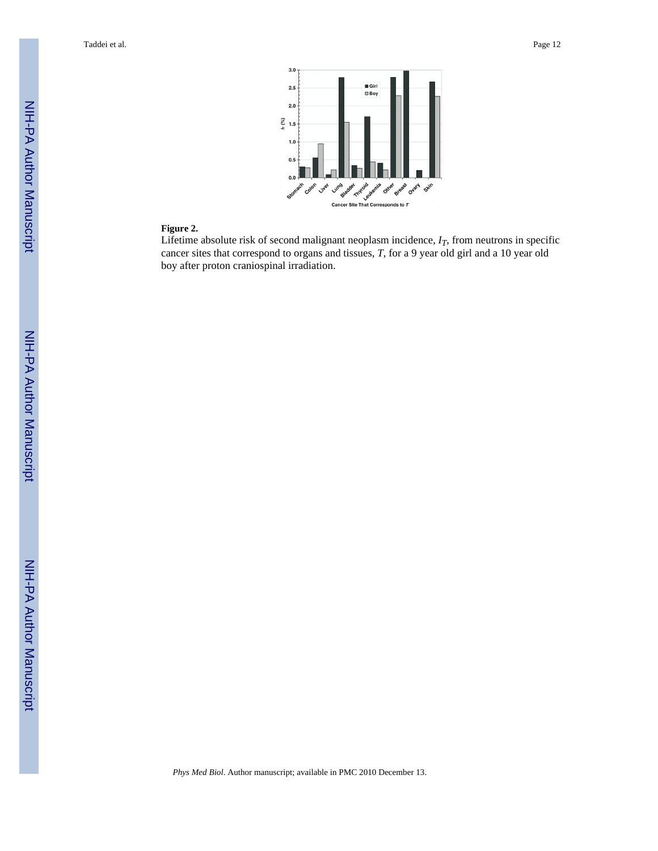

#### **Figure 2.**

Lifetime absolute risk of second malignant neoplasm incidence, *IT*, from neutrons in specific cancer sites that correspond to organs and tissues, *T*, for a 9 year old girl and a 10 year old boy after proton craniospinal irradiation.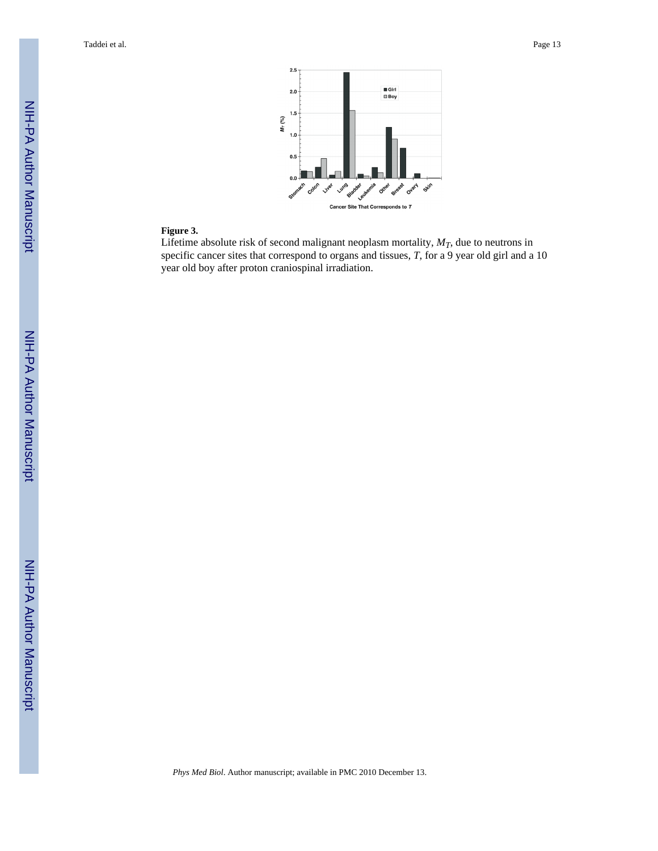

#### **Figure 3.**

Lifetime absolute risk of second malignant neoplasm mortality,  $M_T$ , due to neutrons in specific cancer sites that correspond to organs and tissues, *T*, for a 9 year old girl and a 10 year old boy after proton craniospinal irradiation.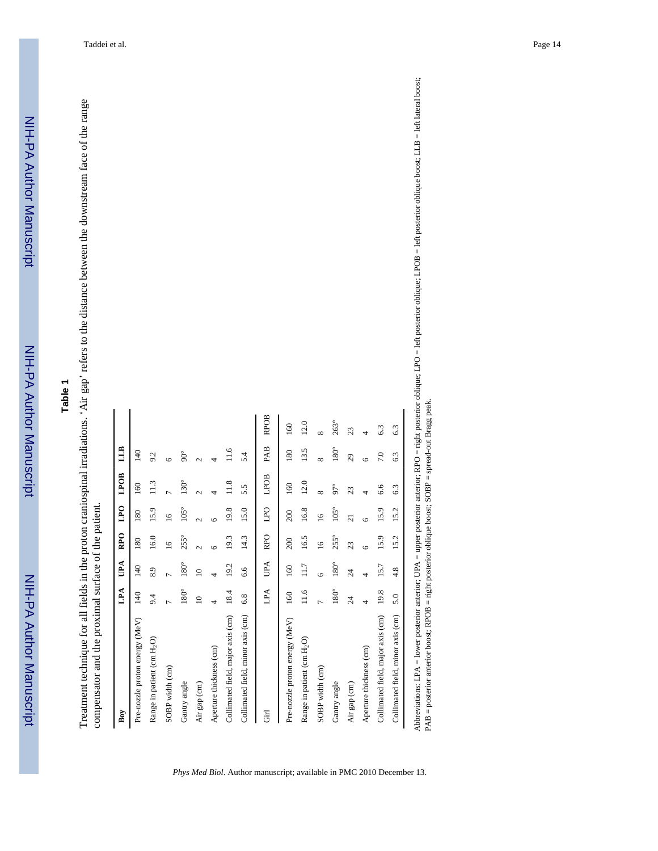Treatment technique for all fields in the proton craniospinal irradiations. 'Air gap' refers to the distance between the downstream face of the range Treatment technique for all fields in the proton craniospinal irradiations. 'Air gap' refers to the distance between the downstream face of the range compensator and the proximal surface of the patient. compensator and the proximal surface of the patient.

| Boy                                    | LPA            | UPA            | RP <sub>O</sub> | LPO             | LPOB           | LLB            |             |
|----------------------------------------|----------------|----------------|-----------------|-----------------|----------------|----------------|-------------|
| Pre-nozzle proton energy (MeV)         | 140            | $\frac{40}{5}$ | 180             | 180             | 160            | $\frac{40}{5}$ |             |
| Range in patient (cm H <sub>2</sub> O) | 9.4            | 8.9            | 16.0            | 15.9            | 11.3           | 9.2            |             |
| SOBP width (cm)                        | Γ              | Γ              | $\overline{16}$ | $\overline{16}$ |                | $\circ$        |             |
| Gantry angle                           | $180^\circ$    | $180^\circ$    | $255^\circ$     | $105^{\circ}$   | $130^\circ$    | $90^{\circ}$   |             |
| Air gap (cm)                           | $\supseteq$    | $\overline{a}$ | $\mathcal{L}$   | $\mathcal{L}$   | $\sim$         | $\mathcal{L}$  |             |
| Aperture thickness (cm)                |                |                | ١c              | ی               |                | 4              |             |
| Collimated field, major axis (cm)      | 18.4           | 19.2           | 19.3            | 19.8            | $\frac{8}{11}$ | 11.6           |             |
| Collimated field, minor axis (cm)      | 6.8            | 6.6            | 14.3            | 15.0            | 5.5            | 5.4            |             |
| <b>F</b>                               | LPA            | UPA            | <b>RPO</b>      | DdT             | LPOB           | PAB            | <b>RPOB</b> |
| Pre-nozzle proton energy (MeV)         | 160            | 160            | 200             | 200             | 160            | 180            | 160         |
| Range in patient (cm H <sub>2</sub> O) | 11.6           | 11.7           | 16.5            | 16.8            | 12.0           | 13.5           | 12.0        |
| SOBP width (cm)                        | $\overline{ }$ | Ğ              | $\tilde{a}$     | $\tilde{a}$     | $\infty$       | $\infty$       | $\infty$    |
| Gantry angle                           | $180^{\circ}$  | $180^\circ$    | $255^\circ$     | $105^\circ$     | $97^\circ$     | $180^{\circ}$  | 263°        |
| Air gap (cm)                           | $\overline{c}$ | $\overline{c}$ | 23              | $\overline{z}$  | 23             | $\mathfrak{S}$ | 23          |
| Aperture thickness (cm)                | 4              | 4              | $\circ$         | ٩               | 4              | ٩              | 4           |
| Collimated field, major axis (cm)      | 19.8           | 15.7           | 15.9            | 15.9            | 6.6            | 7.0            | 6.3         |
| Collimated field, minor axis (cm)      | 5.0            | 4.8            | 15.2            | 15.2            | 6.3            | 6.3            | 63          |

*Phys Med Biol*. Author manuscript; available in PMC 2010 December 13.

Abbreviations: LPA = lower posterior anterior; UPA = upper posterior anterior; RPO = right posterior oblique; LPO = left posterior oblique; LPOB = left posterior oblique boost; LLB = left lateral boost; Abbreviations: LPA = lower posterior anterior; UPA = upper posterior anterior; RPO = right posterior oblique; LPO = left posterior oblique; LPOB = left posterior oblique boost; LLB = left lateral boost; PAB = posterior anterior boost; RPOB = right posterior oblique boost; SOBP = spread-out Bragg peak. PAB = posterior anterior boost; RPOB = right posterior oblique boost; SOBP = spread-out Bragg peak.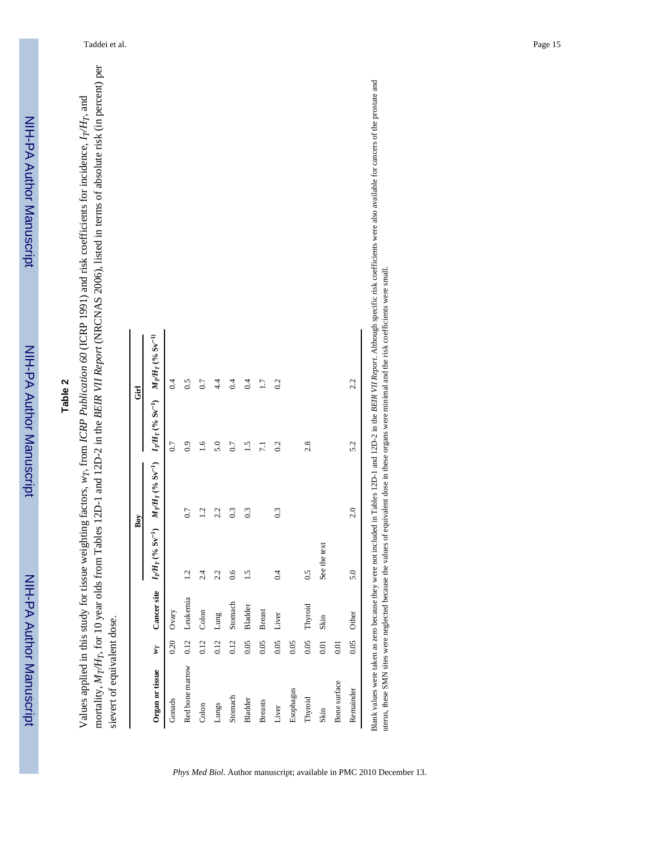Values applied in this study for tissue weighting factors, *wT*, from *ICRP Publication 60* (ICRP 1991) and risk coefficients for incidence, *IT/H*  $r$ , and mortality, *M T/H T*, for 10 year olds from Tables 12D-1 and 12D-2 in the *BEIR VII Report* (NRCNAS 2006), listed in terms of absolute risk (in percent) per sievert of equivalent dose.

|                 |           |               | I            | Boy                                                                                                                                             |               | <b>E</b> |
|-----------------|-----------|---------------|--------------|-------------------------------------------------------------------------------------------------------------------------------------------------|---------------|----------|
| Organ or tissue | <b>LA</b> |               |              | Cancer site $I_T/H_T(^{6}6 \text{ Sv}^{-1})$ $M_T/H_T(^{6}6 \text{ Sv}^{-1})$ $I_T/H_T(^{6}6 \text{ Sv}^{-1})$ $M_T/H_T(^{9}6 \text{ Sv}^{-1})$ |               |          |
| Gonads          | 0.20      | Ovary         |              |                                                                                                                                                 | 0.7           | 0.4      |
| Red bone marrow |           | 0.12 Leukemia | 1.2          | 0.7                                                                                                                                             | 0.9           | 0.5      |
| Colon           | 0.12      | Colon         | 2.4          | 1.2                                                                                                                                             | $\frac{6}{1}$ | 0.7      |
| Lungs           | 0.12      | Lung          | 2.2          | 2.2                                                                                                                                             | 5.0           | 4.4      |
| Stomach         | 0.12      | Stomach       | 0.6          | 0.3                                                                                                                                             | 0.7           | 0.4      |
| <b>Bladder</b>  | 0.05      | Bladder       | 1.5          | 0.3                                                                                                                                             | 1.5           | 0.4      |
| <b>Breasts</b>  | 0.05      | <b>Breast</b> |              |                                                                                                                                                 | 7.1           | 1.7      |
| Liver           | 0.05      | Liver         | 0.4          | 0.3                                                                                                                                             | 0.2           | 0.2      |
| Esophagus       | 0.05      |               |              |                                                                                                                                                 |               |          |
| Thyroid         | 0.05      | Thyroid       | 0.5          |                                                                                                                                                 | 2.8           |          |
| Skin            | 0.01      | Skin          | See the text |                                                                                                                                                 |               |          |
| Bone surface    | 0.01      |               |              |                                                                                                                                                 |               |          |
| Remainder       | 0.05      | Other         | 5.0          | 2.0                                                                                                                                             | 5.2           | 2.2      |

 $\overline{a}$ Blank values were taken as zero because they were not included in Tables 12D-1 and 12D-2 in the *BEIR VII Report*. Although specific risk coefficients were also available for cancers of the prostate and uterus, these SMN sites were neglected because the values of equivalent dose in these organs were minimal and the risk coefficients were small. uterus, these SMN sites were neglected because the values of equivalent dose in these organs were minimal and the risk coefficients were small.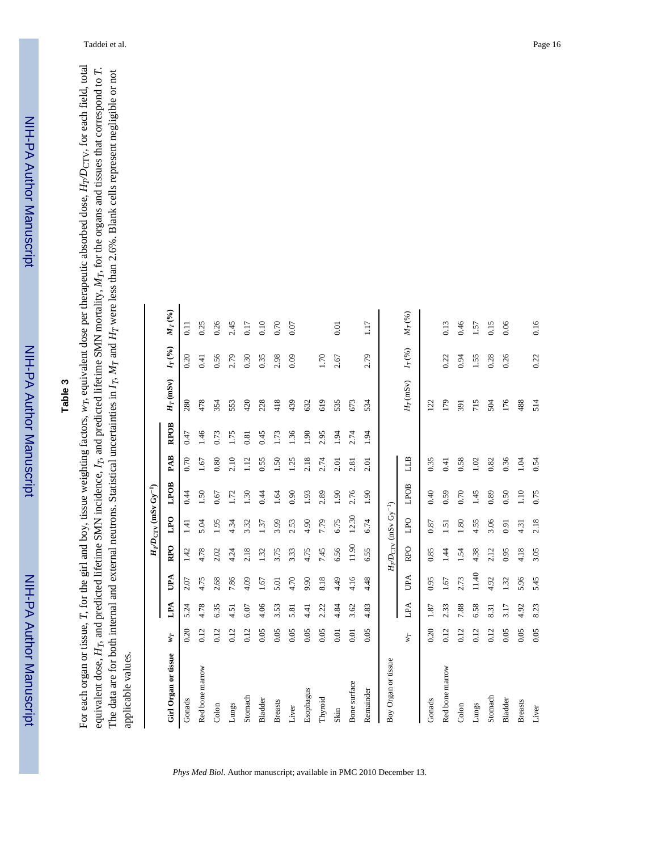*T/D*CTV, for each field, total *T*. *T* were less than 2.6%. Blank cells represent negligible or not *T*, for the organs and tissues that correspond to *H T*, equivalent dose per therapeutic absorbed dose, *M T*, and predicted lifetime SMN incidence, *IT*, and predicted lifetime SMN mortality,  $_T$  and  $H$ The data are for both internal and external neutrons. Statistical uncertainties in *IT*, *M wT*, for the girl and boy, tissue weighting factors, For each organ or tissue, *H* applicable values. applicable values. equivalent dose,

|                           |      |      |            |                 | $H_T D_{\rm CTV}$ (mSv $\rm Gy^{-1}$ )    |      |      |                  |             |                                                                                 |                   |
|---------------------------|------|------|------------|-----------------|-------------------------------------------|------|------|------------------|-------------|---------------------------------------------------------------------------------|-------------------|
| Girl Organ or tissue      | ΨT   | LPA  | UPA        | RP <sub>O</sub> | LPO                                       | LPOB | PAB  | RP <sub>OB</sub> | $H_T$ (mSv) | $I_T\left(^{9\!\!/}_{\hspace{-0.5pt}0}\right)$                                  | $M_T\,{}^{(9/6)}$ |
| Gonads                    | 0.20 | 5.24 | 2.07       | 1.42            | 1.41                                      | 0.44 | 0.70 | 0.47             | 280         | 0.20                                                                            | $\overline{0}$ .  |
| Red bone marrow           | 0.12 | 4.78 | 4.75       | 4.78            | 5.04                                      | 1.50 | 1.67 | 1.46             | 478         | 0.41                                                                            | 0.25              |
| $\mathop{\mathrm{Colon}}$ | 0.12 | 6.35 | 2.68       | 2.02            | 1.95                                      | 0.67 | 0.80 | 0.73             | 354         | 0.56                                                                            | 0.26              |
| Lungs                     | 0.12 | 4.51 | 7.86       | 4.24            | 4.34                                      | 1.72 | 2.10 | 1.75             | 553         | 2.79                                                                            | 2.45              |
| Stomach                   | 0.12 | 6.07 | 4.09       | 2.18            | 3.32                                      | 1.30 | 1.12 | 0.81             | 420         | 0.30                                                                            | 0.17              |
| Bladder                   | 0.05 | 4.06 | 1.67       | 1.32            | 1.37                                      | 0.44 | 0.55 | 0.45             | 228         | 0.35                                                                            | 0.10              |
| <b>Breasts</b>            | 0.05 | 3.53 | 5.01       | 3.75            | 3.99                                      | 1.64 | 1.50 | 1.73             | 418         | 2.98                                                                            | 0.70              |
| Liver                     | 0.05 | 5.81 | 4.70       | 3.33            | 2.53                                      | 0.90 | 1.25 | 1.36             | 439         | 0.09                                                                            | 0.07              |
| Esophagus                 | 0.05 | 4.41 | 9.90       | 4.75            | 4.90                                      | 1.93 | 2.18 | 1.90             | 632         |                                                                                 |                   |
| Thyroid                   | 0.05 | 2.22 | 8.18       | 7.45            | 7.79                                      | 2.89 | 2.74 | 2.95             | 619         | 0 <sup>T</sup>                                                                  |                   |
| Skin                      | 0.01 | 4.84 | 4.49       | 6.56            | 6.75                                      | 1.90 | 2.01 | 1.94             | 535         | 2.67                                                                            | 0.01              |
| Bone surface              | 0.01 | 3.62 | 4.16       | 11.90           | 12.30                                     | 2.76 | 2.81 | 2.74             | 673         |                                                                                 |                   |
| Remainder                 | 0.05 | 4.83 | 4.48       | 6.55            | 6.74                                      | 1.90 | 2.01 | 1.94             | 534         | 2.79                                                                            | 117               |
| Boy Organ or tissue       |      |      |            |                 | $H_T D_{\rm CTV}$ (mSv Gy <sup>-1</sup> ) |      |      |                  |             |                                                                                 |                   |
|                           | wт   | LPA  | <b>UPA</b> | <b>RPO</b>      | DPO                                       | LPOB | LLB  |                  | $H_T$ (mSv) | $I_T\left(\begin{smallmatrix} 96\\ \rule{0pt}{5mm} 96 \end{smallmatrix}\right)$ | $M_T({\%})$       |
| Gonads                    | 0.20 | 1.87 | 0.95       | 0.85            | 0.87                                      | 0.40 | 0.35 |                  | 122         |                                                                                 |                   |
| Red bone marrow           | 0.12 | 2.33 | 1.67       | 1.44            | $\overline{51}$                           | 0.59 | 0.41 |                  | 179         | 0.22                                                                            | 0.13              |
| Colon                     | 0.12 | 7.88 | 2.73       | 1.54            | 1.80                                      | 0.70 | 0.58 |                  | 391         | 0.94                                                                            | 0.46              |
| Lungs                     | 0.12 | 6.58 | 11.40      | 4.38            | 4.55                                      | 1.45 | 1.02 |                  | 715         | 1.55                                                                            | 1.57              |
| Stomach                   | 0.12 | 8.31 | 4.92       | 2.12            | 3.06                                      | 0.89 | 0.82 |                  | 504         | 0.28                                                                            | 0.15              |
| Bladder                   | 0.05 | 3.17 | 1.32       | 0.95            | 0.91                                      | 0.50 | 0.36 |                  | 176         | 0.26                                                                            | 0.06              |
| <b>Breasts</b>            | 0.05 | 4.92 | 5.96       | 4.18            | 4.31                                      | 1.10 | 1.04 |                  | 488         |                                                                                 |                   |
| Liver                     | 0.05 | 8.23 | 5.45       | 3.05            | 2.18                                      | 0.75 | 0.54 |                  | 514         | 0.22                                                                            | 0.16              |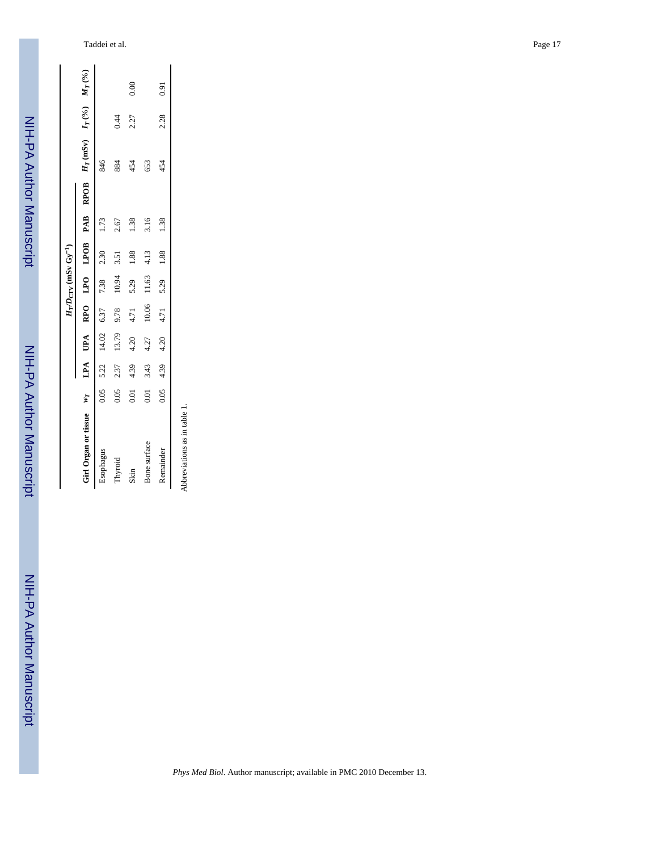|                                                                                          |      |      |       |       | $H_T D_{\text{CTV}}$ (mSv $\text{Gy}^{-1}$ ) |                                      |      |     |      |      |
|------------------------------------------------------------------------------------------|------|------|-------|-------|----------------------------------------------|--------------------------------------|------|-----|------|------|
| Girl Organ or tissue $w_T$ LPA UPA RPO LPO LPOB PAB RPOB $H_T$ (mSv) $H_T$ (%) $M_T$ (%) |      |      |       |       |                                              |                                      |      |     |      |      |
| Esophagus                                                                                |      |      |       |       | $0.05$ 5.22 14.02 6.37 7.38 2.30             |                                      | 1.73 | 846 |      |      |
| Thyroid                                                                                  | 0.05 | 2.37 | 13.79 | 9.78  | 10.94                                        | 3.51                                 | 2.67 | 884 | 0.44 |      |
| Skin                                                                                     | 0.01 | 4.39 | 4.20  | 4.71  | 5.29                                         | 1.88                                 | 1.38 | 454 | 2.27 | 0.00 |
| Bone surface                                                                             | 0.01 | 3.43 | 4.27  | 10.06 | 11.63                                        | 4.13                                 | 3.16 | 653 |      |      |
| Remainder                                                                                |      |      |       |       |                                              | $0.05$ 4.39 4.20 4.71 5.29 1.88 1.38 |      | 454 | 2.28 | 0.91 |
|                                                                                          |      |      |       |       |                                              |                                      |      |     |      |      |

Abbreviations as in table 1. Abbreviations as in table 1.

NIH-PA Author Manuscript

NIH-PA Author Manuscript

NIH-PA Author Manuscript

NIH-PA Author Manuscript

NIH-PA Author Manuscript

NIH-PA Author Manuscript